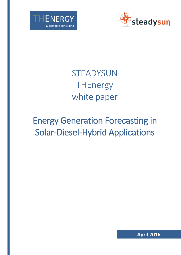



# **STEADYSUN THEnergy** white paper

# Energy Generation Forecasting in Solar-Diesel-Hybrid Applications

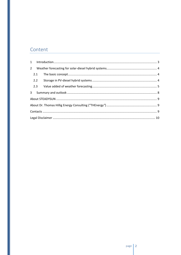# Content

| 2.2 |  |  |  |  |
|-----|--|--|--|--|
|     |  |  |  |  |
|     |  |  |  |  |
|     |  |  |  |  |
|     |  |  |  |  |
|     |  |  |  |  |
|     |  |  |  |  |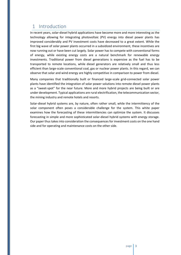## <span id="page-2-0"></span>1 Introduction

In recent years, solar-diesel hybrid applications have become more and more interesting as the technology allowing for integrating photovoltaic (PV) energy into diesel power plants has improved considerably and PV investment costs have decreased to a great extent. While the first big wave of solar power plants occurred in a subsidized environment, these incentives are now running out or have been cut largely. Solar power has to compete with conventional forms of energy, while existing energy costs are a natural benchmark for renewable energy investments. Traditional power from diesel generations is expensive as the fuel has to be transported to remote locations, while diesel generators are relatively small and thus less efficient than large-scale conventional coal, gas or nuclear power plants. In this regard, we can observe that solar and wind energy are highly competitive in comparison to power from diesel.

Many companies that traditionally built or financed large-scale grid-connected solar power plants have identified the integration of solar power solutions into remote diesel power plants as a "sweet-spot" for the near future. More and more hybrid projects are being built or are under development. Typical applications are rural electrification, the telecommunication sector, the mining industry and remote hotels and resorts.

Solar-diesel hybrid systems are, by nature, often rather small, while the intermittency of the solar component often poses a considerable challenge for the system. This white paper examines how the forecasting of these intermittencies can optimize the system. It discusses forecasting in simple and more sophisticated solar-diesel hybrid systems with energy storage. Our paper thus takes into consideration the consequences for investment costs on the one hand side and for operating and maintenance costs on the other side.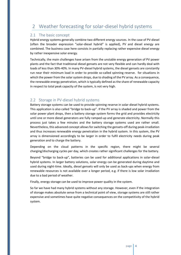## <span id="page-3-0"></span>2 Weather forecasting for solar-diesel hybrid systems

#### <span id="page-3-1"></span>2.1 The basic concept

Hybrid energy systems generally combine two different energy sources. In the case of PV-diesel (often the broader expression "solar-diesel hybrid" is applied), PV and diesel energy are combined. The business case here consists in partially replacing rather expensive diesel energy by rather inexpensive solar energy.

Technically, the main challenges have arisen from the unstable energy generation of PV power plants and the fact that traditional diesel gensets are not very flexible and can hardly deal with loads of less than 30%-40%. In many PV-diesel hybrid systems, the diesel gensets are constantly run near their minimum load in order to provide so-called spinning reserve. for situations in which the power from the solar system drops, due to shading of the PV array. As a consequence, the renewable energy penetration, which is typically defined as the share of renewable capacity in respect to total peak capacity of the system, is not very high.

#### <span id="page-3-2"></span>2.2 Storage in PV-diesel hybrid systems

Battery storage systems can be used to provide spinning reserve in solar-diesel hybrid systems. This application is also called "bridge to back-up". If the PV array is shaded and power from the solar power plant drops, then a battery storage system forms the grid and provides electricity until one or more diesel generators are fully ramped-up and generate electricity. Normally this process just takes a few minutes and the battery storage systems used are rather small. Nevertheless, this advanced concept allows for switching the gensets-off during peak-irradiation and thus increases renewable energy penetration in the hybrid system. In this system, the PV array is dimensioned accordingly to be larger in order to fulfil electricity needs during peak generation and to charge the battery.

Depending on the cloud patterns in the specific region, there might be several charging/discharging cycles per day, which creates rather significant challenges for the battery.

Beyond "bridge to back-up", batteries can be used for additional applications in solar-diesel hybrid systems. In larger battery solutions, solar energy can be generated during daytime and used during night-time. Ideally, diesel gensets will only be used as back-ups when energy from renewable resources is not available over a longer period, e.g. if there is low solar irradiation due to a bad period of weather.

Finally, energy storage can be used to improve power quality in the system.

So far we have had many hybrid systems without any storage. However, even if the integration of storage makes absolute sense from a technical point of view, storage systems are still rather expensive and sometimes have quite negative consequences on the competitivity of the hybrid system.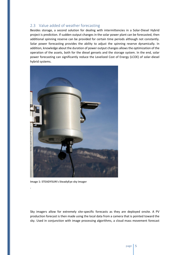#### <span id="page-4-0"></span>2.3 Value added of weather forecasting

Besides storage, a second solution for dealing with intermittencies in a Solar-Diesel Hybrid project is prediction. If sudden output changes in the solar power plant can be forecasted, then additional spinning reserve can be provided for certain time periods although not constantly. Solar power forecasting provides the ability to adjust the spinning reserve dynamically. In addition, knowledge about the duration of power output changes allows the optimization of the operation of the assets, both for the diesel gensets and the storage system. In the end, solar power forecasting can significantly reduce the Levelized Cost of Energy (LCOE) of solar-diesel hybrid systems.



**Image 1: STEADYSUN's SteadyEye sky imager**

.

Sky imagers allow for extremely site-specific forecasts as they are deployed onsite. A PV production forecast is then made using the local data from a camera that is pointed toward the sky. Used in conjunction with image processing algorithms, a cloud mass movement forecast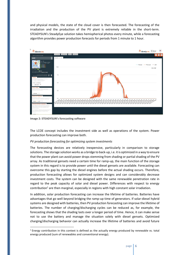and physical models, the state of the cloud cover is then forecasted. The forecasting of the irradiation and the production of the PV plant is extremely reliable in the short-term. STEADYSUN's SteadyEye solution takes hemispherical photos every minute, while a forecasting algorithm provides power production forecasts for periods from 1 minute to 1 hour.



**Image 2: STEADYSUN's forecasting software**

 $\overline{a}$ 

The LCOE concept includes the investment side as well as operations of the system. Power production forecasting can improve both.

#### *PV production forecasting for optimizing system investments*

The forecasting devices are relatively inexpensive, particularly in comparison to storage solutions. The storage solution works as a bridge to back-up, i.e. it is optimized in a way to ensure that the power plant can avoid power drops stemming from shading or partial shading of the PV array. As traditional gensets need a certain time for ramp-up, the main function of the storage system in this regard is to provide power until the diesel gensets are available. Forecasting can overcome this gap by starting the diesel engines before the actual shading occurs. Therefore, production forecasting allows for optimized system designs and can considerably decrease investment costs. The system can be designed with the same renewable penetration rate in regard to the peak capacity of solar and diesel power. Differences with respect to energy contribution<sup>1</sup> are then marginal, especially in regions with high constant solar irradiation.

In addition, solar production forecasting can increase the lifetime of batteries. Batteries have advantages that go well beyond bridging the ramp-up time of generators. If solar-diesel hybrid systems are designed with batteries, then PV production forecasting can improve the lifetime of batteries. The number of charging/discharging cycles can be reduced as, for example, the forecasting shows that the shading lasts over a longer period of time. Hence, it can make sense not to use the battery and manage the situation solely with diesel gensets. Optimized charging/discharging behavior can actually increase the lifetime of batteries and avoid future

<sup>&</sup>lt;sup>1</sup> Energy contribution in this context is defined as the actually energy produced by renewable vs. total energy produced (sum of renewables and conventional energy).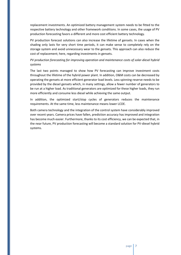replacement investments. An optimized battery management system needs to be fitted to the respective battery technology and other framework conditions. In some cases, the usage of PV production forecasting favors a different and more cost efficient battery technology.

PV production forecast solutions can also increase the lifetime of gensets. In cases when the shading only lasts for very short time periods, it can make sense to completely rely on the storage system and avoid unnecessary wear to the gensets. This approach can also reduce the cost of replacement; here, regarding investments in gensets.

#### *PV production forecasting for improving operation and maintenance costs of solar-diesel hybrid systems*

The last two points managed to show how PV forecasting can improve investment costs throughout the lifetime of the hybrid power plant. In addition, O&M costs can be decreased by operating the gensets at more efficient generator load levels. Less spinning reserve needs to be provided by the diesel gensets which, in many settings, allow a fewer number of generators to be run at a higher load. As traditional generators are optimized for these higher loads, they run more efficiently and consume less diesel while achieving the same output.

In addition, the optimized start/stop cycles of generators reduces the maintenance requirements. At the same time, less maintenance means lower LCOE.

Both camera technology and the integration of the control system have considerably improved over recent years. Camera prices have fallen, prediction accuracy has improved and integration has become much easier. Furthermore, thanks to its cost efficiency, we can be expected that, in the near future, PV production forecasting will become a standard solution for PV-diesel hybrid systems.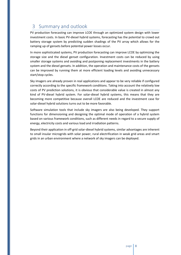## <span id="page-7-0"></span>3 Summary and outlook

PV production forecasting can improve LCOE through an optimized system design with lower investment costs. In basic PV-diesel hybrid systems, forecasting has the potential to crowd out battery storage system by predicting sudden shadings of the PV array which allows for the ramping up of gensets before potential power losses occur.

In more sophisticated systems, PV production forecasting can improve LCOE by optimizing the storage size and the diesel genset configuration. Investment costs can be reduced by using smaller storage systems and avoiding and postponing replacement investments in the battery system and the diesel gensets. In addition, the operation and maintenance costs of the gensets can be improved by running them at more efficient loading levels and avoiding unnecessary start/stop cycles.

Sky imagers are already proven in real applications and appear to be very reliable if configured correctly according to the specific framework conditions. Taking into account the relatively low costs of PV prediction solutions, it is obvious that considerable value is created in almost any kind of PV-diesel hybrid system. For solar-diesel hybrid systems, this means that they are becoming more competitive because overall LCOE are reduced and the investment case for solar-diesel hybrid solutions turns out to be more favorable.

Software simulation tools that include sky imagers are also being developed. They support functions for dimensioning and designing the optimal mode of operation of a hybrid system based on various framework conditions, such as different needs in regard to a secure supply of energy, electricity costs and various load and irradiation patterns.

Beyond their application in off-grid solar-diesel hybrid systems, similar advantages are inherent to small insular microgrids with solar power, rural electrification in weak grid areas and smart grids in an urban environment where a network of sky imagers can be deployed.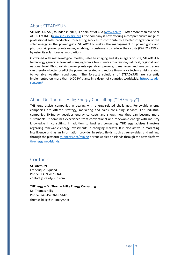### <span id="page-8-0"></span>About STEADYSUN

STEADYSUN SAS, founded in 2013, is a spin-off of CEA [\(www.cea.fr](http://www.cea.fr/) ). After more than five year of R&D at INES [\(www.ines-solaire.org](http://www.ines-solaire.org/) ), the company is now offering a comprehensive range of professional solar production forecasting services to contribute to a better integration of the solar energy in the power grids. STEADYSUN makes the management of power grids and photovoltaic power plants easier, enabling its customers to reduce their costs (CAPEX / OPEX) by using its solar forecasting solutions.

Combined with meteorological models, satellite imaging and sky imagers on site, STEADYSUN technology generates forecasts ranging from a few minutes to a few days at local, regional, and national level. Photovoltaic power plants operators, power grid managers and, energy traders can therefore better predict the power generated and reduce financial or technical risks related to variable weather conditions. The forecast solutions of STEADYSUN are currently implemented on more than 1400 PV plants in a dozen of countries worldwide. [http://steady](http://steady-sun.com/)[sun.com/](http://steady-sun.com/)

### <span id="page-8-1"></span>About Dr. Thomas Hillig Energy Consulting ("THEnergy*"*)

THEnergy assists companies in dealing with energy-related challenges. Renewable energy companies are offered strategy, marketing and sales consulting services. For industrial companies THEnergy develops energy concepts and shows how they can become more sustainable. It combines experience from conventional and renewable energy with industry knowledge in consulting. In addition to business consulting, THEnergy advises investors regarding renewable energy investments in changing markets. It is also active in marketing intelligence and as an information provider in select fields, such as renewables and mining, through the platform [th-energy.net/mining](http://www.th-energy.net/mining) or renewables on islands through the new platform [th-energy.net/islands.](http://www.th-energy.net/islands)

## <span id="page-8-2"></span>**Contacts**

**STEADYSUN** Frederique Piquand Phone: +33 9 7075 3416 contact@steady-sun.com

**THEnergy – Dr. Thomas Hillig Energy Consulting** Dr. Thomas Hillig Phone: +49-152 3618 6442 thomas.hillig@th-energy.net